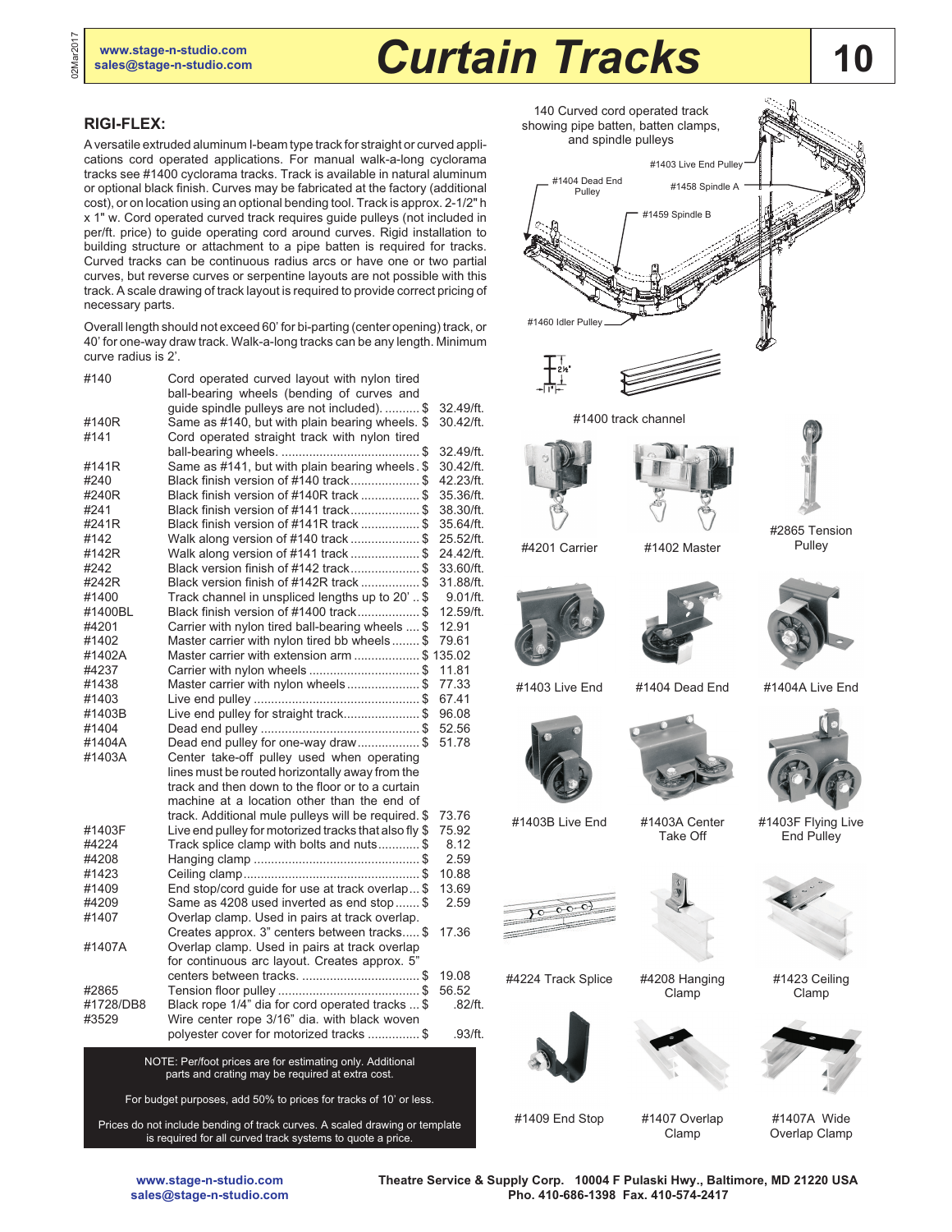# **10 [www.stage-n-studio.com](http://www.stage-n-studio.com)**<br> **Sales@stage-n-studio.com Curtain Tracks** 10

## **RIGI-FLEX:**

02Mar2017

A versatile extruded aluminum I-beam type track for straight or curved applications cord operated applications. For manual walk-a-long cyclorama tracks see #1400 cyclorama tracks. Track is available in natural aluminum or optional black finish. Curves may be fabricated at the factory (additional cost), or on location using an optional bending tool. Track is approx. 2-1/2" h x 1" w. Cord operated curved track requires guide pulleys (not included in per/ft. price) to guide operating cord around curves. Rigid installation to building structure or attachment to a pipe batten is required for tracks. Curved tracks can be continuous radius arcs or have one or two partial curves, but reverse curves or serpentine layouts are not possible with this track. A scale drawing of track layout is required to provide correct pricing of necessary parts.

Overall length should not exceed 60' for bi-parting (center opening) track, or 40' for one-way draw track. Walk-a-long tracks can be any length. Minimum curve radius is 2'.

| #140      | Cord operated curved layout with nylon tired<br>ball-bearing wheels (bending of curves and |            |
|-----------|--------------------------------------------------------------------------------------------|------------|
|           | guide spindle pulleys are not included).  \$                                               | 32.49/ft.  |
| #140R     | Same as #140, but with plain bearing wheels. \$                                            | 30.42/ft.  |
| #141      | Cord operated straight track with nylon tired                                              |            |
|           |                                                                                            | 32.49/ft.  |
| #141R     | Same as #141, but with plain bearing wheels. \$                                            | 30.42/ft.  |
| #240      | Black finish version of #140 track\$                                                       | 42.23/ft.  |
| #240R     | Black finish version of #140R track \$                                                     | 35.36/ft.  |
| #241      | Black finish version of #141 track\$                                                       | 38.30/ft.  |
| #241R     | Black finish version of #141R track \$                                                     | 35.64/ft.  |
| #142      | Walk along version of #140 track \$                                                        | 25.52/ft.  |
| #142R     | Walk along version of #141 track \$                                                        | 24.42/ft.  |
| #242      | Black version finish of #142 track\$                                                       | 33.60/ft.  |
| #242R     | Black version finish of #142R track \$                                                     | 31.88/ft.  |
| #1400     | Track channel in unspliced lengths up to 20'  \$                                           | 9.01/ft.   |
| #1400BL   | Black finish version of #1400 track\$                                                      | 12.59/ft.  |
| #4201     | Carrier with nylon tired ball-bearing wheels  \$                                           | 12.91      |
| #1402     | Master carrier with nylon tired bb wheels \$                                               | 79.61      |
| #1402A    | Master carrier with extension arm \$ 135.02                                                |            |
| #4237     | Carrier with nylon wheels\$                                                                | 11.81      |
| #1438     | Master carrier with nylon wheels\$                                                         | 77.33      |
| #1403     |                                                                                            | 67.41      |
| #1403B    | Live end pulley for straight track\$                                                       | 96.08      |
| #1404     |                                                                                            | 52.56      |
| #1404A    | Dead end pulley for one-way draw\$                                                         | 51.78      |
| #1403A    | Center take-off pulley used when operating                                                 |            |
|           | lines must be routed horizontally away from the                                            |            |
|           | track and then down to the floor or to a curtain                                           |            |
|           | machine at a location other than the end of                                                |            |
|           | track. Additional mule pulleys will be required. \$                                        | 73.76      |
| #1403F    | Live end pulley for motorized tracks that also fly \$                                      | 75.92      |
| #4224     | Track splice clamp with bolts and nuts\$                                                   | 8.12       |
| #4208     |                                                                                            | 2.59       |
| #1423     |                                                                                            | 10.88      |
| #1409     | End stop/cord guide for use at track overlap \$                                            | 13.69      |
| #4209     | Same as 4208 used inverted as end stop  \$                                                 | 2.59       |
| #1407     | Overlap clamp. Used in pairs at track overlap.                                             |            |
|           | Creates approx. 3" centers between tracks \$                                               | 17.36      |
| #1407A    | Overlap clamp. Used in pairs at track overlap                                              |            |
|           | for continuous arc layout. Creates approx. 5"                                              |            |
|           |                                                                                            | 19.08      |
| #2865     |                                                                                            | 56.52      |
| #1728/DB8 | Black rope 1/4" dia for cord operated tracks  \$                                           | $.82$ /ft. |
| #3529     | Wire center rope 3/16" dia. with black woven                                               |            |
|           | polyester cover for motorized tracks \$                                                    | .93/ft.    |
|           | NOTE: Per/foot prices are for estimating only Additional                                   |            |

NOTE: Per/foot prices are for estimating only. Additional parts and crating may be required at extra cost.

For budget purposes, add 50% to prices for tracks of 10' or less.

Prices do not include bending of track curves. A scaled drawing or template is required for all curved track systems to quote a price.



**Theatre Service & Supply Corp. 10004 F Pulaski Hwy., Baltimore, MD 21220 USA Pho. 410-686-1398 Fax. 410-574-2417**